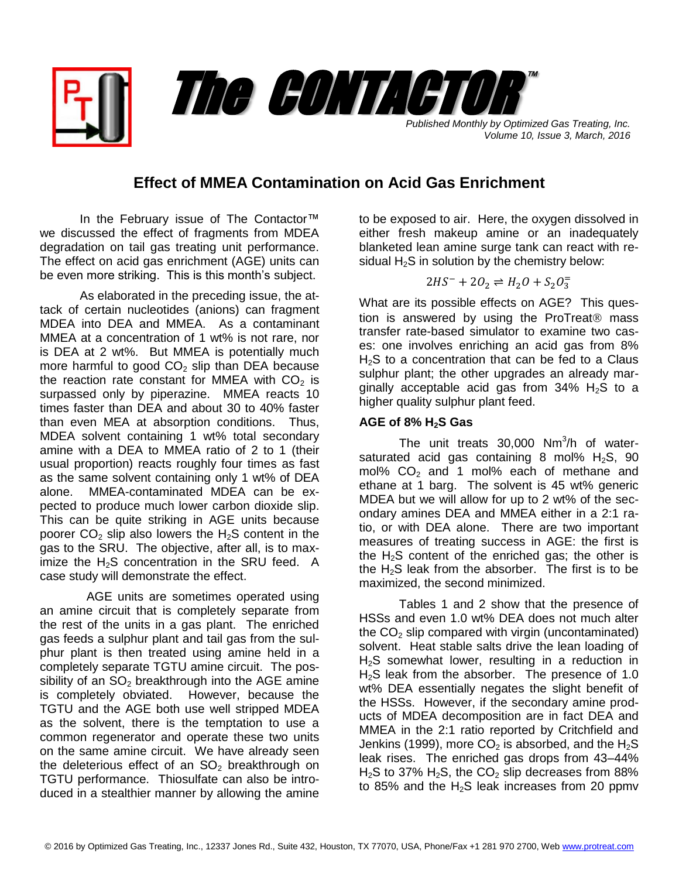*Published Monthly by Optimized Gas Treating, Inc. Volume 10, Issue 3, March, 2016*

™

## **Effect of MMEA Contamination on Acid Gas Enrichment**

The CONTACTOR

In the February issue of The Contactor™ we discussed the effect of fragments from MDEA degradation on tail gas treating unit performance. The effect on acid gas enrichment (AGE) units can be even more striking. This is this month's subject.

As elaborated in the preceding issue, the attack of certain nucleotides (anions) can fragment MDEA into DEA and MMEA. As a contaminant MMEA at a concentration of 1 wt% is not rare, nor is DEA at 2 wt%. But MMEA is potentially much more harmful to good  $CO<sub>2</sub>$  slip than DEA because the reaction rate constant for MMEA with  $CO<sub>2</sub>$  is surpassed only by piperazine. MMEA reacts 10 times faster than DEA and about 30 to 40% faster than even MEA at absorption conditions. Thus, MDEA solvent containing 1 wt% total secondary amine with a DEA to MMEA ratio of 2 to 1 (their usual proportion) reacts roughly four times as fast as the same solvent containing only 1 wt% of DEA alone. MMEA-contaminated MDEA can be expected to produce much lower carbon dioxide slip. This can be quite striking in AGE units because poorer  $CO<sub>2</sub>$  slip also lowers the H<sub>2</sub>S content in the gas to the SRU. The objective, after all, is to maximize the  $H_2S$  concentration in the SRU feed. A case study will demonstrate the effect.

 AGE units are sometimes operated using an amine circuit that is completely separate from the rest of the units in a gas plant. The enriched gas feeds a sulphur plant and tail gas from the sulphur plant is then treated using amine held in a completely separate TGTU amine circuit. The possibility of an  $SO<sub>2</sub>$  breakthrough into the AGE amine is completely obviated. However, because the TGTU and the AGE both use well stripped MDEA as the solvent, there is the temptation to use a common regenerator and operate these two units on the same amine circuit. We have already seen the deleterious effect of an  $SO<sub>2</sub>$  breakthrough on TGTU performance. Thiosulfate can also be introduced in a stealthier manner by allowing the amine

to be exposed to air. Here, the oxygen dissolved in either fresh makeup amine or an inadequately blanketed lean amine surge tank can react with residual  $H_2S$  in solution by the chemistry below:

$$
2HS^{-} + 2O_2 \rightleftharpoons H_2O + S_2O_3^{-}
$$

What are its possible effects on AGE? This question is answered by using the ProTreat<sup>®</sup> mass transfer rate-based simulator to examine two cases: one involves enriching an acid gas from 8%  $H<sub>2</sub>S$  to a concentration that can be fed to a Claus sulphur plant; the other upgrades an already marginally acceptable acid gas from  $34\%$  H<sub>2</sub>S to a higher quality sulphur plant feed.

## **AGE of 8% H2S Gas**

The unit treats 30,000 Nm<sup>3</sup>/h of watersaturated acid gas containing 8 mol%  $H_2S$ , 90 mol%  $CO<sub>2</sub>$  and 1 mol% each of methane and ethane at 1 barg. The solvent is 45 wt% generic MDEA but we will allow for up to 2 wt% of the secondary amines DEA and MMEA either in a 2:1 ratio, or with DEA alone. There are two important measures of treating success in AGE: the first is the  $H<sub>2</sub>S$  content of the enriched gas; the other is the  $H_2S$  leak from the absorber. The first is to be maximized, the second minimized.

Tables 1 and 2 show that the presence of HSSs and even 1.0 wt% DEA does not much alter the  $CO<sub>2</sub>$  slip compared with virgin (uncontaminated) solvent. Heat stable salts drive the lean loading of  $H<sub>2</sub>S$  somewhat lower, resulting in a reduction in  $H<sub>2</sub>S$  leak from the absorber. The presence of 1.0 wt% DEA essentially negates the slight benefit of the HSSs. However, if the secondary amine products of MDEA decomposition are in fact DEA and MMEA in the 2:1 ratio reported by Critchfield and Jenkins (1999), more  $CO<sub>2</sub>$  is absorbed, and the  $H<sub>2</sub>S$ leak rises. The enriched gas drops from 43–44%  $H<sub>2</sub>S$  to 37%  $H<sub>2</sub>S$ , the CO<sub>2</sub> slip decreases from 88% to 85% and the  $H_2S$  leak increases from 20 ppmv